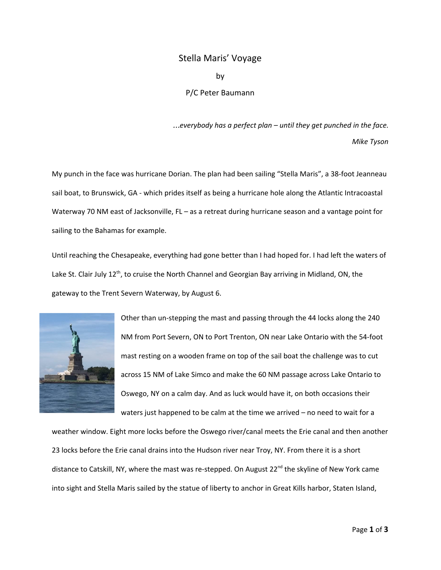## Stella Maris' Voyage by

P/C Peter Baumann

…*everybody has a perfect plan – until they get punched in the face. Mike Tyson*

My punch in the face was hurricane Dorian. The plan had been sailing "Stella Maris", a 38-foot Jeanneau sail boat, to Brunswick, GA - which prides itself as being a hurricane hole along the Atlantic Intracoastal Waterway 70 NM east of Jacksonville, FL – as a retreat during hurricane season and a vantage point for sailing to the Bahamas for example.

Until reaching the Chesapeake, everything had gone better than I had hoped for. I had left the waters of Lake St. Clair July 12<sup>th</sup>, to cruise the North Channel and Georgian Bay arriving in Midland, ON, the gateway to the Trent Severn Waterway, by August 6.



Other than un-stepping the mast and passing through the 44 locks along the 240 NM from Port Severn, ON to Port Trenton, ON near Lake Ontario with the 54-foot mast resting on a wooden frame on top of the sail boat the challenge was to cut across 15 NM of Lake Simco and make the 60 NM passage across Lake Ontario to Oswego, NY on a calm day. And as luck would have it, on both occasions their waters just happened to be calm at the time we arrived – no need to wait for a

weather window. Eight more locks before the Oswego river/canal meets the Erie canal and then another 23 locks before the Erie canal drains into the Hudson river near Troy, NY. From there it is a short distance to Catskill, NY, where the mast was re-stepped. On August 22<sup>nd</sup> the skyline of New York came into sight and Stella Maris sailed by the statue of liberty to anchor in Great Kills harbor, Staten Island,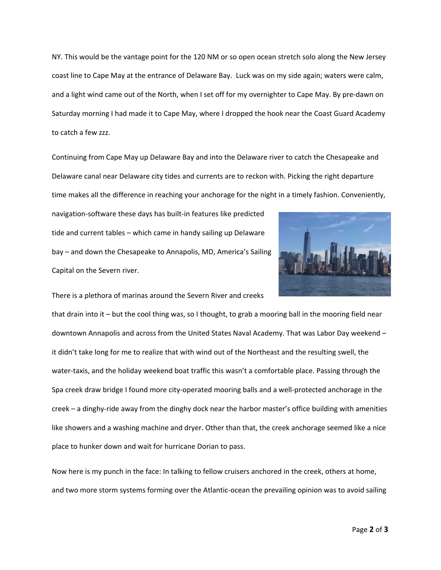NY. This would be the vantage point for the 120 NM or so open ocean stretch solo along the New Jersey coast line to Cape May at the entrance of Delaware Bay. Luck was on my side again; waters were calm, and a light wind came out of the North, when I set off for my overnighter to Cape May. By pre-dawn on Saturday morning I had made it to Cape May, where I dropped the hook near the Coast Guard Academy to catch a few zzz.

Continuing from Cape May up Delaware Bay and into the Delaware river to catch the Chesapeake and Delaware canal near Delaware city tides and currents are to reckon with. Picking the right departure time makes all the difference in reaching your anchorage for the night in a timely fashion. Conveniently,

navigation-software these days has built-in features like predicted tide and current tables – which came in handy sailing up Delaware bay – and down the Chesapeake to Annapolis, MD, America's Sailing Capital on the Severn river.



There is a plethora of marinas around the Severn River and creeks

that drain into it – but the cool thing was, so I thought, to grab a mooring ball in the mooring field near downtown Annapolis and across from the United States Naval Academy. That was Labor Day weekend – it didn't take long for me to realize that with wind out of the Northeast and the resulting swell, the water-taxis, and the holiday weekend boat traffic this wasn't a comfortable place. Passing through the Spa creek draw bridge I found more city-operated mooring balls and a well-protected anchorage in the creek – a dinghy-ride away from the dinghy dock near the harbor master's office building with amenities like showers and a washing machine and dryer. Other than that, the creek anchorage seemed like a nice place to hunker down and wait for hurricane Dorian to pass.

Now here is my punch in the face: In talking to fellow cruisers anchored in the creek, others at home, and two more storm systems forming over the Atlantic-ocean the prevailing opinion was to avoid sailing